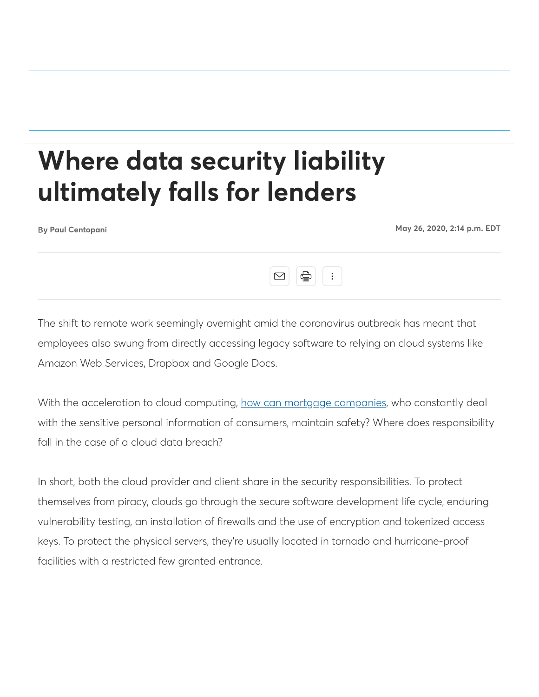## **Where data security liability ultimately falls for lenders**

**Paul Centopani May 26, 2020, 2:14 p.m. EDT**



The shift to remote work seemingly overnight amid the coronavirus outbreak has meant that employees also swung from directly accessing legacy software to relying on cloud systems like Amazon Web Services, Dropbox and Google Docs.

With the acceleration to cloud computing, how can mortgage companies, who constantly deal with the sensitive personal information of consumers, maintain safety? Where does responsibility fall in the case of a cloud data breach?

In short, both the cloud provider and client share in the security responsibilities. To protect themselves from piracy, clouds go through the secure software development life cycle, enduring vulnerability testing, an installation of firewalls and the use of encryption and tokenized access keys. To protect the physical servers, they're usually located in tornado and hurricane-proof facilities with a restricted few granted entrance.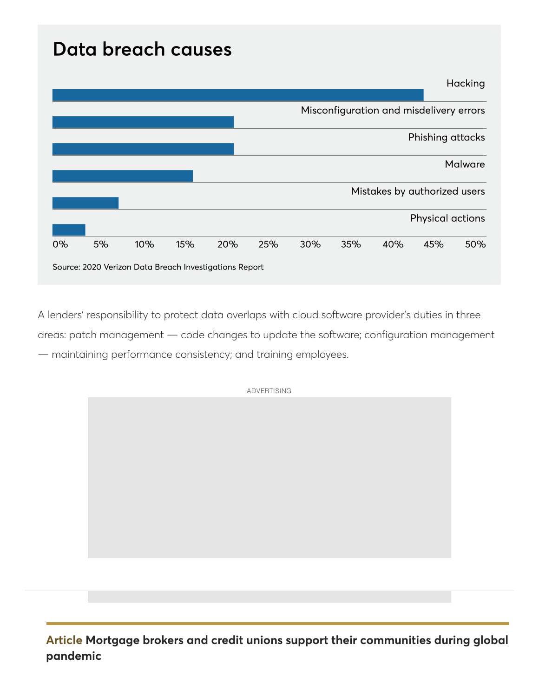## Data breach causes



A lenders' responsibility to protect data overlaps with cloud software provider's duties in three areas: patch management — code changes to update the software; configuration management — maintaining performance consistency; and training employees.

**Article Mortgage brokers and credit unions support their communities during global pandemic**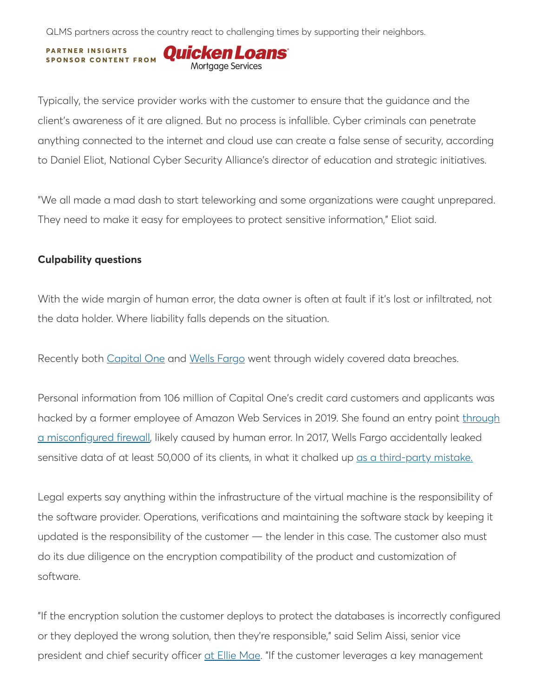QLMS partners across the country react to challenging times by supporting their neighbors.

**PARTNER INSIGHTS S P O N S O R C O N T E N T F R O M**Mortgage Services

Typically, the service provider works with the customer to ensure that the guidance and the client's awareness of it are aligned. But no process is infallible. Cyber criminals can penetrate anything connected to the internet and cloud use can create a false sense of security, according to Daniel Eliot, National Cyber Security Alliance's director of education and strategic initiatives.

"We all made a mad dash to start teleworking and some organizations were caught unprepared. They need to make it easy for employees to protect sensitive information," Eliot said.

## **Culpability questions**

With the wide margin of human error, the data owner is often at fault if it's lost or infiltrated, not the data holder. Where liability falls depends on the situation.

Recently both Capital One and Wells Fargo went through widely covered data breaches.

Personal information from 106 million of Capital One's credit card customers and applicants was hacked by a former employee of Amazon Web Services in 2019. She found an entry point through a misconfigured firewall, likely caused by human error. In 2017, Wells Fargo accidentally leaked sensitive data of at least 50,000 of its clients, in what it chalked up <u>as a third-party mistake.</u>

Legal experts say anything within the infrastructure of the virtual machine is the responsibility of the software provider. Operations, verifications and maintaining the software stack by keeping it updated is the responsibility of the customer — the lender in this case. The customer also must do its due diligence on the encryption compatibility of the product and customization of software.

"If the encryption solution the customer deploys to protect the databases is incorrectly configured or they deployed the wrong solution, then they're responsible," said Selim Aissi, senior vice president and chief security officer at Ellie Mae. "If the customer leverages a key management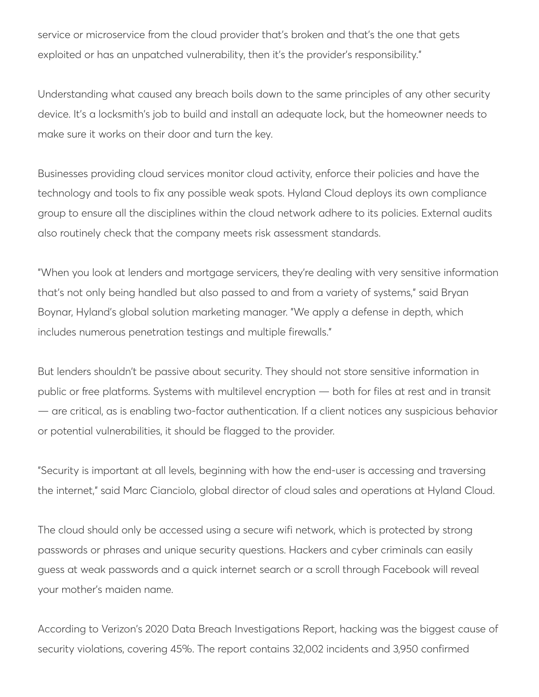service or microservice from the cloud provider that's broken and that's the one that gets exploited or has an unpatched vulnerability, then it's the provider's responsibility."

Understanding what caused any breach boils down to the same principles of any other security device. It's a locksmith's job to build and install an adequate lock, but the homeowner needs to make sure it works on their door and turn the key.

Businesses providing cloud services monitor cloud activity, enforce their policies and have the technology and tools to fix any possible weak spots. Hyland Cloud deploys its own compliance group to ensure all the disciplines within the cloud network adhere to its policies. External audits also routinely check that the company meets risk assessment standards.

"When you look at lenders and mortgage servicers, they're dealing with very sensitive information that's not only being handled but also passed to and from a variety of systems," said Bryan Boynar, Hyland's global solution marketing manager. "We apply a defense in depth, which includes numerous penetration testings and multiple firewalls."

But lenders shouldn't be passive about security. They should not store sensitive information in public or free platforms. Systems with multilevel encryption — both for files at rest and in transit — are critical, as is enabling two-factor authentication. If a client notices any suspicious behavior or potential vulnerabilities, it should be flagged to the provider.

"Security is important at all levels, beginning with how the end-user is accessing and traversing the internet," said Marc Cianciolo, global director of cloud sales and operations at Hyland Cloud.

The cloud should only be accessed using a secure wifi network, which is protected by strong passwords or phrases and unique security questions. Hackers and cyber criminals can easily guess at weak passwords and a quick internet search or a scroll through Facebook will reveal your mother's maiden name.

According to Verizon's 2020 Data Breach Investigations Report, hacking was the biggest cause of security violations, covering 45%. The report contains 32,002 incidents and 3,950 confirmed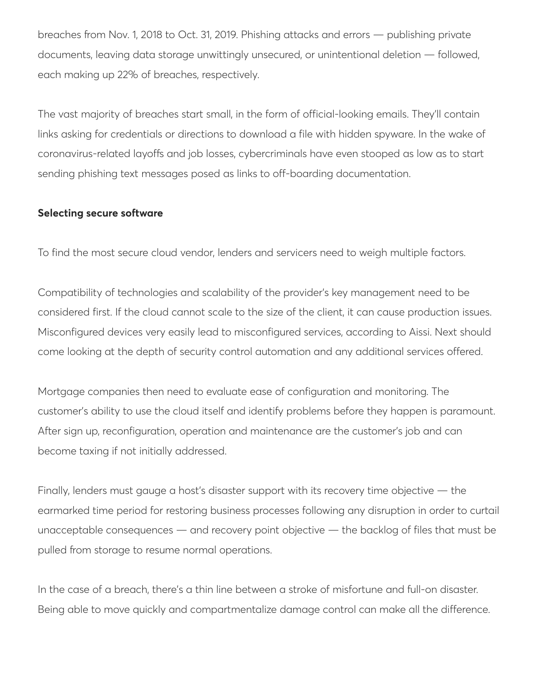breaches from Nov. 1, 2018 to Oct. 31, 2019. Phishing attacks and errors — publishing private documents, leaving data storage unwittingly unsecured, or unintentional deletion — followed, each making up 22% of breaches, respectively.

The vast majority of breaches start small, in the form of official-looking emails. They'll contain links asking for credentials or directions to download a file with hidden spyware. In the wake of coronavirus-related layoffs and job losses, cybercriminals have even stooped as low as to start sending phishing text messages posed as links to off-boarding documentation.

## **Selecting secure software**

To find the most secure cloud vendor, lenders and servicers need to weigh multiple factors.

Compatibility of technologies and scalability of the provider's key management need to be considered first. If the cloud cannot scale to the size of the client, it can cause production issues. Misconfigured devices very easily lead to misconfigured services, according to Aissi. Next should come looking at the depth of security control automation and any additional services offered.

Mortgage companies then need to evaluate ease of configuration and monitoring. The customer's ability to use the cloud itself and identify problems before they happen is paramount. After sign up, reconfiguration, operation and maintenance are the customer's job and can become taxing if not initially addressed.

Finally, lenders must gauge a host's disaster support with its recovery time objective — the earmarked time period for restoring business processes following any disruption in order to curtail unacceptable consequences — and recovery point objective — the backlog of files that must be pulled from storage to resume normal operations.

In the case of a breach, there's a thin line between a stroke of misfortune and full-on disaster. Being able to move quickly and compartmentalize damage control can make all the difference.